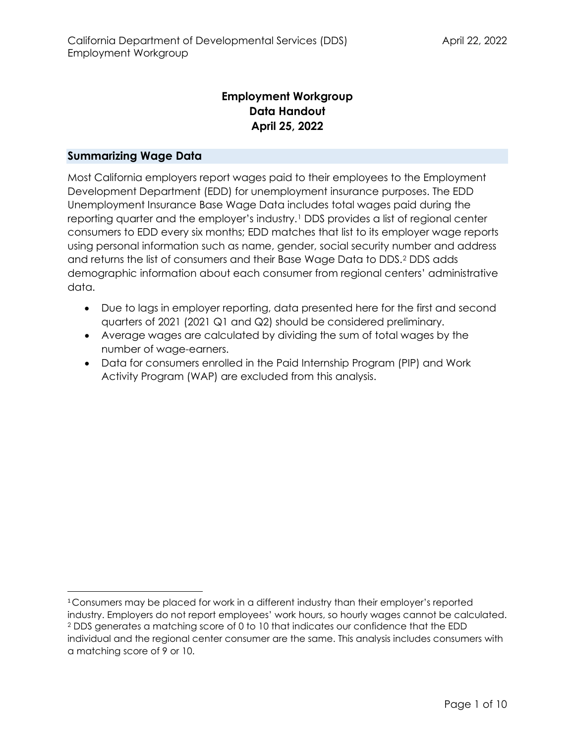## **Employment Workgroup Data Handout April 25, 2022**

## **Summarizing Wage Data**

Most California employers report wages paid to their employees to the Employment Development Department (EDD) for unemployment insurance purposes. The EDD Unemployment Insurance Base Wage Data includes total wages paid during the reporting quarter and the employer's industry.[1](#page-0-0) DDS provides a list of regional center consumers to EDD every six months; EDD matches that list to its employer wage reports using personal information such as name, gender, social security number and address and returns the list of consumers and their Base Wage Data to DDS.[2](#page-0-1) DDS adds demographic information about each consumer from regional centers' administrative data.

- Due to lags in employer reporting, data presented here for the first and second quarters of 2021 (2021 Q1 and Q2) should be considered preliminary.
- Average wages are calculated by dividing the sum of total wages by the number of wage-earners.
- Data for consumers enrolled in the Paid Internship Program (PIP) and Work Activity Program (WAP) are excluded from this analysis.

<span id="page-0-1"></span><span id="page-0-0"></span><sup>&</sup>lt;sup>1</sup> Consumers may be placed for work in a different industry than their employer's reported industry. Employers do not report employees' work hours, so hourly wages cannot be calculated. <sup>2</sup> DDS generates a matching score of 0 to 10 that indicates our confidence that the EDD individual and the regional center consumer are the same. This analysis includes consumers with a matching score of 9 or 10.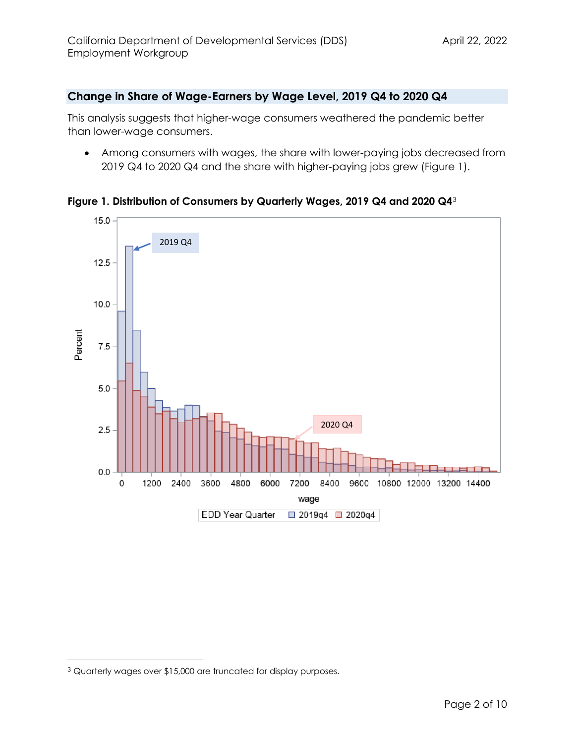#### **Change in Share of Wage-Earners by Wage Level, 2019 Q4 to 2020 Q4**

This analysis suggests that higher-wage consumers weathered the pandemic better than lower-wage consumers.

• Among consumers with wages, the share with lower-paying jobs decreased from 2019 Q4 to 2020 Q4 and the share with higher-paying jobs grew (Figure 1).



**Figure 1. Distribution of Consumers by Quarterly Wages, 2019 Q4 and 2020 Q4**[3](#page-1-0)

<span id="page-1-0"></span><sup>3</sup> Quarterly wages over \$15,000 are truncated for display purposes.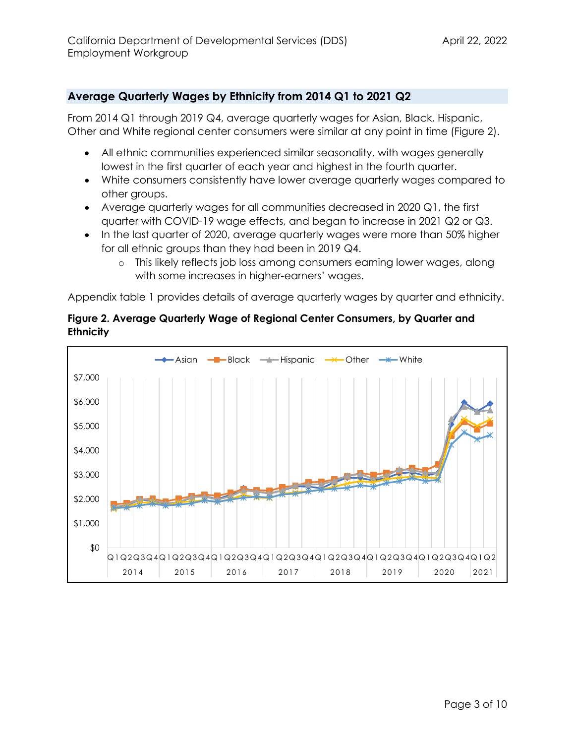## **Average Quarterly Wages by Ethnicity from 2014 Q1 to 2021 Q2**

From 2014 Q1 through 2019 Q4, average quarterly wages for Asian, Black, Hispanic, Other and White regional center consumers were similar at any point in time (Figure 2).

- All ethnic communities experienced similar seasonality, with wages generally lowest in the first quarter of each year and highest in the fourth quarter.
- White consumers consistently have lower average quarterly wages compared to other groups.
- Average quarterly wages for all communities decreased in 2020 Q1, the first quarter with COVID-19 wage effects, and began to increase in 2021 Q2 or Q3.
- In the last quarter of 2020, average quarterly wages were more than 50% higher for all ethnic groups than they had been in 2019 Q4.
	- o This likely reflects job loss among consumers earning lower wages, along with some increases in higher-earners' wages.

Appendix table 1 provides details of average quarterly wages by quarter and ethnicity.



## **Figure 2. Average Quarterly Wage of Regional Center Consumers, by Quarter and Ethnicity**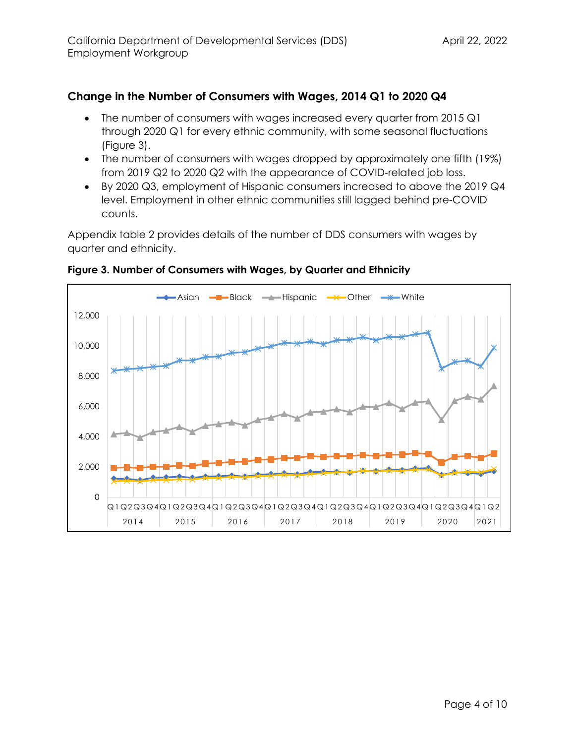## **Change in the Number of Consumers with Wages, 2014 Q1 to 2020 Q4**

- The number of consumers with wages increased every quarter from 2015 Q1 through 2020 Q1 for every ethnic community, with some seasonal fluctuations (Figure 3).
- The number of consumers with wages dropped by approximately one fifth (19%) from 2019 Q2 to 2020 Q2 with the appearance of COVID-related job loss.
- By 2020 Q3, employment of Hispanic consumers increased to above the 2019 Q4 level. Employment in other ethnic communities still lagged behind pre-COVID counts.

Appendix table 2 provides details of the number of DDS consumers with wages by quarter and ethnicity.



**Figure 3. Number of Consumers with Wages, by Quarter and Ethnicity**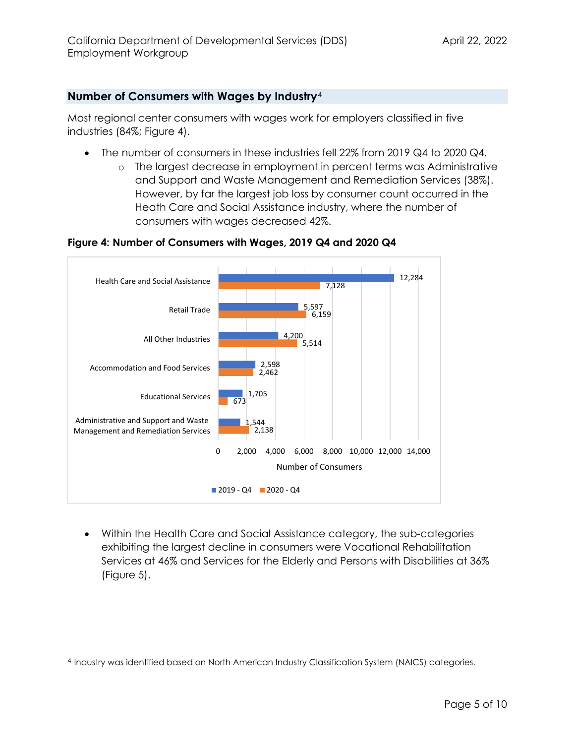#### **Number of Consumers with Wages by Industry**[4](#page-4-0)

Most regional center consumers with wages work for employers classified in five industries (84%; Figure 4).

- The number of consumers in these industries fell 22% from 2019 Q4 to 2020 Q4.
	- o The largest decrease in employment in percent terms was Administrative and Support and Waste Management and Remediation Services (38%). However, by far the largest job loss by consumer count occurred in the Heath Care and Social Assistance industry, where the number of consumers with wages decreased 42%.



#### **Figure 4: Number of Consumers with Wages, 2019 Q4 and 2020 Q4**

• Within the Health Care and Social Assistance category, the sub-categories exhibiting the largest decline in consumers were Vocational Rehabilitation Services at 46% and Services for the Elderly and Persons with Disabilities at 36% (Figure 5).

<span id="page-4-0"></span><sup>4</sup> Industry was identified based on North American Industry Classification System (NAICS) categories.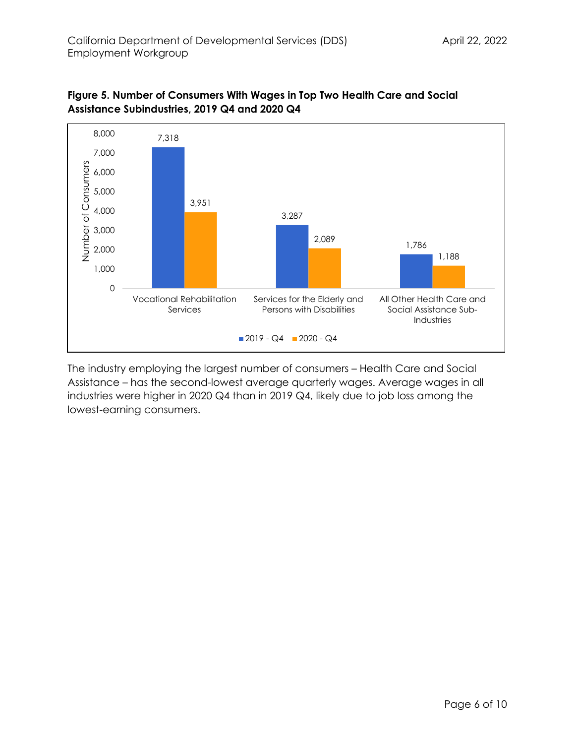



The industry employing the largest number of consumers – Health Care and Social Assistance – has the second-lowest average quarterly wages. Average wages in all industries were higher in 2020 Q4 than in 2019 Q4, likely due to job loss among the lowest-earning consumers.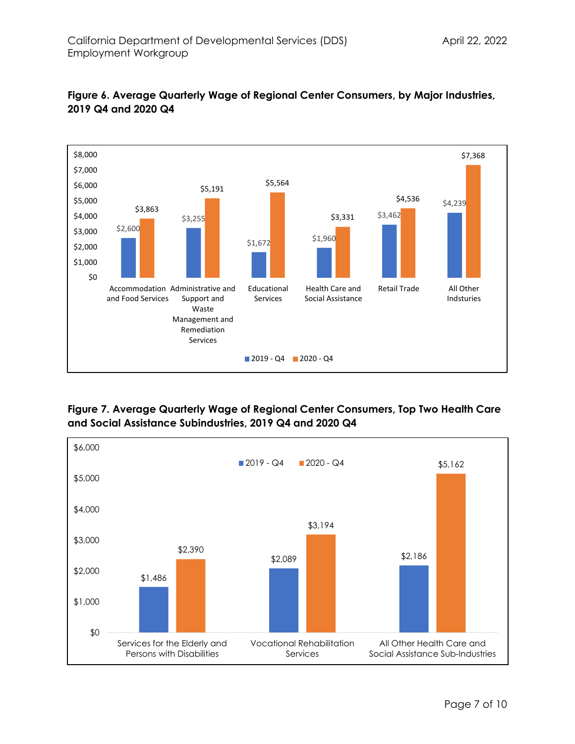



**Figure 7. Average Quarterly Wage of Regional Center Consumers, Top Two Health Care and Social Assistance Subindustries, 2019 Q4 and 2020 Q4**

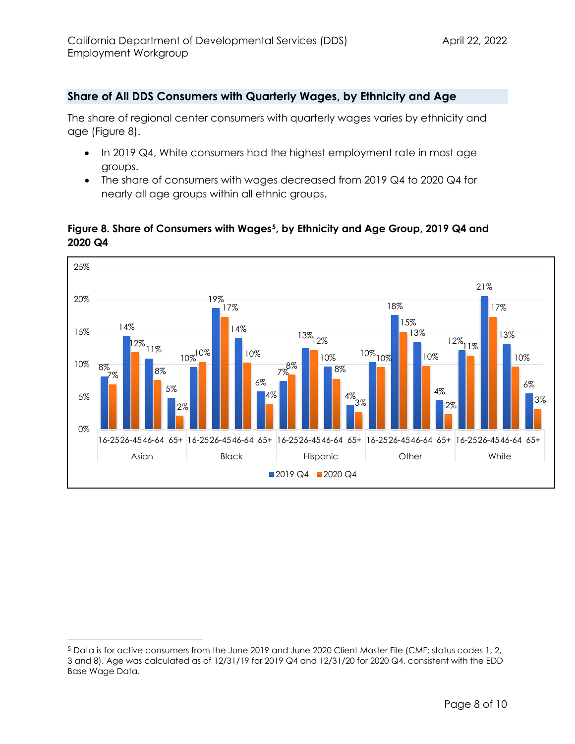#### **Share of All DDS Consumers with Quarterly Wages, by Ethnicity and Age**

The share of regional center consumers with quarterly wages varies by ethnicity and age (Figure 8).

- In 2019 Q4, White consumers had the highest employment rate in most age groups.
- The share of consumers with wages decreased from 2019 Q4 to 2020 Q4 for nearly all age groups within all ethnic groups.

#### **Figure 8. Share of Consumers with Wages[5,](#page-7-0) by Ethnicity and Age Group, 2019 Q4 and 2020 Q4**



<span id="page-7-0"></span><sup>5</sup> Data is for active consumers from the June 2019 and June 2020 Client Master File (CMF; status codes 1, 2, 3 and 8). Age was calculated as of 12/31/19 for 2019 Q4 and 12/31/20 for 2020 Q4, consistent with the EDD Base Wage Data.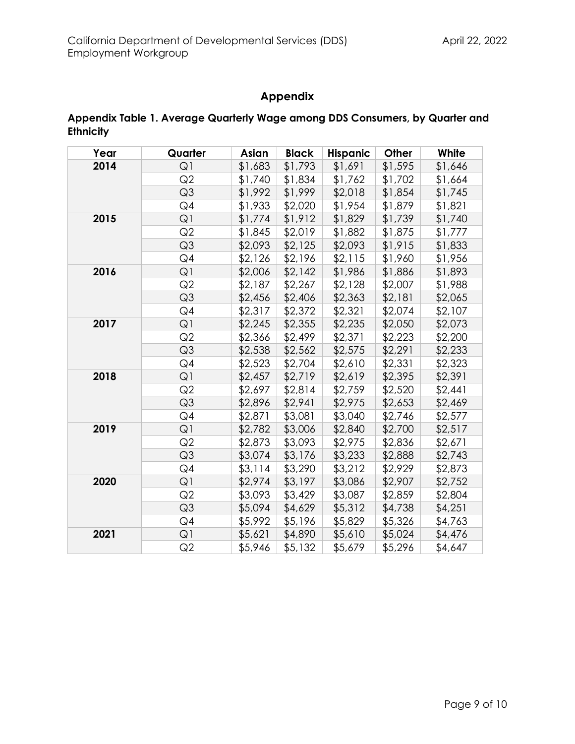# **Appendix**

| Appendix Table 1. Average Quarterly Wage among DDS Consumers, by Quarter and |  |  |
|------------------------------------------------------------------------------|--|--|
| <b>Ethnicity</b>                                                             |  |  |

| Year | Quarter        | Asian   | <b>Black</b> | <b>Hispanic</b> | Other   | White   |
|------|----------------|---------|--------------|-----------------|---------|---------|
| 2014 | Q1             | \$1,683 | \$1,793      | \$1,691         | \$1,595 | \$1,646 |
|      | Q2             | \$1,740 | \$1,834      | \$1,762         | \$1,702 | \$1,664 |
|      | Q3             | \$1,992 | \$1,999      | \$2,018         | \$1,854 | \$1,745 |
|      | Q4             | \$1,933 | \$2,020      | \$1,954         | \$1,879 | \$1,821 |
| 2015 | Q1             | \$1,774 | \$1,912      | \$1,829         | \$1,739 | \$1,740 |
|      | Q2             | \$1,845 | \$2,019      | \$1,882         | \$1,875 | \$1,777 |
|      | Q3             | \$2,093 | \$2,125      | \$2,093         | \$1,915 | \$1,833 |
|      | Q4             | \$2,126 | \$2,196      | \$2,115         | \$1,960 | \$1,956 |
| 2016 | Q1             | \$2,006 | \$2,142      | \$1,986         | \$1,886 | \$1,893 |
|      | Q2             | \$2,187 | \$2,267      | \$2,128         | \$2,007 | \$1,988 |
|      | Q3             | \$2,456 | \$2,406      | \$2,363         | \$2,181 | \$2,065 |
|      | Q4             | \$2,317 | \$2,372      | \$2,321         | \$2,074 | \$2,107 |
| 2017 | Q1             | \$2,245 | \$2,355      | \$2,235         | \$2,050 | \$2,073 |
|      | Q2             | \$2,366 | \$2,499      | \$2,371         | \$2,223 | \$2,200 |
|      | Q3             | \$2,538 | \$2,562      | \$2,575         | \$2,291 | \$2,233 |
|      | Q4             | \$2,523 | \$2,704      | \$2,610         | \$2,331 | \$2,323 |
| 2018 | Q1             | \$2,457 | \$2,719      | \$2,619         | \$2,395 | \$2,391 |
|      | Q2             | \$2,697 | \$2,814      | \$2,759         | \$2,520 | \$2,441 |
|      | Q3             | \$2,896 | \$2,941      | \$2,975         | \$2,653 | \$2,469 |
|      | Q4             | \$2,871 | \$3,081      | \$3,040         | \$2,746 | \$2,577 |
| 2019 | Q1             | \$2,782 | \$3,006      | \$2,840         | \$2,700 | \$2,517 |
|      | Q2             | \$2,873 | \$3,093      | \$2,975         | \$2,836 | \$2,671 |
|      | Q3             | \$3,074 | \$3,176      | \$3,233         | \$2,888 | \$2,743 |
|      | Q4             | \$3,114 | \$3,290      | \$3,212         | \$2,929 | \$2,873 |
| 2020 | Q1             | \$2,974 | \$3,197      | \$3,086         | \$2,907 | \$2,752 |
|      | Q2             | \$3,093 | \$3,429      | \$3,087         | \$2,859 | \$2,804 |
|      | Q3             | \$5,094 | \$4,629      | \$5,312         | \$4,738 | \$4,251 |
|      | Q4             | \$5,992 | \$5,196      | \$5,829         | \$5,326 | \$4,763 |
| 2021 | Q <sub>1</sub> | \$5,621 | \$4,890      | \$5,610         | \$5,024 | \$4,476 |
|      | Q2             | \$5,946 | \$5,132      | \$5,679         | \$5,296 | \$4,647 |